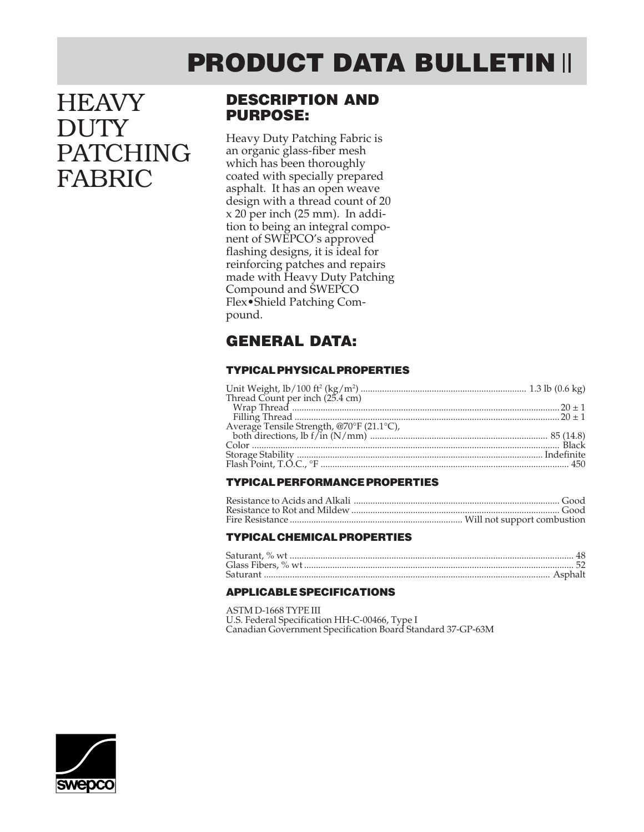# **PRODUCT DATA BULLETIN**

# **HEAVY DUTY** PATCHING FABRIC

## **DESCRIPTION AND PURPOSE:**

Heavy Duty Patching Fabric is an organic glass-fiber mesh which has been thoroughly coated with specially prepared asphalt. It has an open weave design with a thread count of 20 x 20 per inch (25 mm). In addition to being an integral component of SWEPCO's approved flashing designs, it is ideal for reinforcing patches and repairs made with Heavy Duty Patching Compound and SWEPCO Flex•Shield Patching Compound.

## **GENERAL DATA:**

### **TYPICAL PHYSICAL PROPERTIES**

#### **TYPICAL PERFORMANCE PROPERTIES**

#### **TYPICAL CHEMICAL PROPERTIES**

#### **APPLICABLE SPECIFICATIONS**

ASTM D-1668 TYPE III U.S. Federal Specification HH-C-00466, Type I Canadian Government Specification Board Standard 37-GP-63M